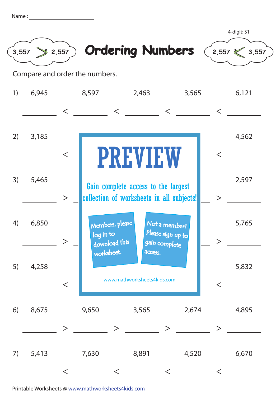| Name: |  |
|-------|--|
|       |  |
|       |  |





4-digit: S1

Compare and order the numbers.

| 1) | 6,945 |        | 8,597<br>2,463<br>3,565                                                                            |                                  |       |                                                     | 6,121 |         |       |
|----|-------|--------|----------------------------------------------------------------------------------------------------|----------------------------------|-------|-----------------------------------------------------|-------|---------|-------|
|    |       | $\lt$  |                                                                                                    | $\lt$                            |       | $\lt$                                               |       | $\,<\,$ |       |
| 2) | 3,185 | $\lt$  |                                                                                                    |                                  |       |                                                     |       | $\lt$   | 4,562 |
| 3) | 5,465 | $\geq$ | <b>PREVIEW</b><br>Gain complete access to the largest<br>collection of worksheets in all subjects! |                                  |       |                                                     |       | $\geq$  | 2,597 |
| 4) | 6,850 |        | log in to                                                                                          | Members, please<br>download this |       | Not a member?<br>Please sign up to<br>gain complete |       |         | 5,765 |
| 5) | 4,258 | $\lt$  | worksheet.<br>access.<br>www.mathworksheets4kids.com                                               |                                  |       |                                                     |       | $\lt$   | 5,832 |
| 6) | 8,675 | >      | 9,650                                                                                              | >                                | 3,565 | >                                                   | 2,674 | $\geq$  | 4,895 |
| 7) | 5,413 |        | 7,630                                                                                              | $\lt$                            | 8,891 |                                                     | 4,520 | $\lt$   | 6,670 |

Printable Worksheets @ www.mathworksheets4kids.com